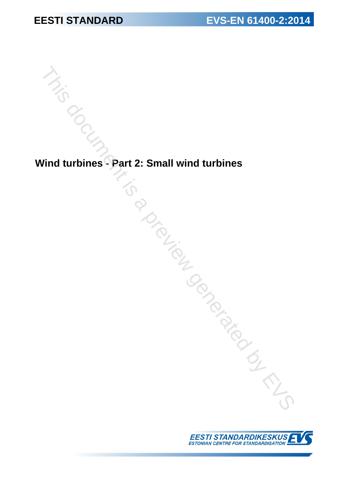**Wind turbines - Part 2: Small wind turbines** This document 2: Small wind turbines<br>
Your durbines - Part 2: Small wind turbines<br>
Control of the Control of the Control of the Control of the Control of the Control of Control of the Control of Control of Control of Contr

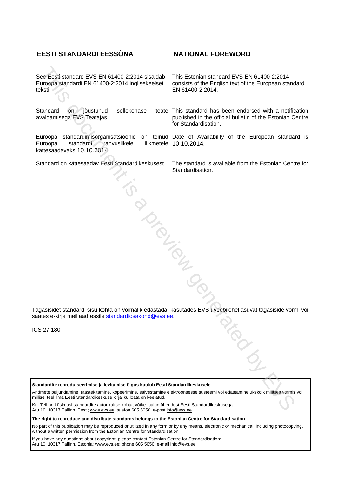#### **EESTI STANDARDI EESSÕNA NATIONAL FOREWORD**

| See Eesti standard EVS-EN 61400-2:2014 sisaldab<br>Euroopa standardi EN 61400-2:2014 inglisekeelset<br>teksti.                                                                                                          | This Estonian standard EVS-EN 61400-2:2014<br>consists of the English text of the European standard<br>EN 61400-2:2014.                  |
|-------------------------------------------------------------------------------------------------------------------------------------------------------------------------------------------------------------------------|------------------------------------------------------------------------------------------------------------------------------------------|
| Standard<br>jõustunud<br>sellekohase<br><b>on</b><br>teate<br>avaldamisega EVS Teatajas.                                                                                                                                | This standard has been endorsed with a notification<br>published in the official bulletin of the Estonian Centre<br>for Standardisation. |
| standardimisorganisatsioonid<br>Euroopa<br>Euroopa<br>standardi rahvuslikele<br>liikmetele<br>kättesaadavaks 10.10.2014.                                                                                                | on teinud Date of Availability of the European standard is<br>10.10.2014.                                                                |
| Standard on kättesaadav Eesti Standardikeskusest.                                                                                                                                                                       | The standard is available from the Estonian Centre for<br>Standardisation.                                                               |
|                                                                                                                                                                                                                         |                                                                                                                                          |
|                                                                                                                                                                                                                         |                                                                                                                                          |
| PIONTELIA                                                                                                                                                                                                               |                                                                                                                                          |
|                                                                                                                                                                                                                         |                                                                                                                                          |
|                                                                                                                                                                                                                         |                                                                                                                                          |
|                                                                                                                                                                                                                         |                                                                                                                                          |
|                                                                                                                                                                                                                         |                                                                                                                                          |
| saates e-kirja meiliaadressile standardiosakond@evs.ee.                                                                                                                                                                 | Tagasisidet standardi sisu kohta on võimalik edastada, kasutades EVS-i veebilehel asuvat tagasiside vormi või                            |
| CS 27.180                                                                                                                                                                                                               |                                                                                                                                          |
|                                                                                                                                                                                                                         |                                                                                                                                          |
| Standardite reprodutseerimise ja levitamise õigus kuulub Eesti Standardikeskusele<br>Andmete paljundamine, taastekitamine, kopeerimine, salvestamine elektroonsesse süsteemi või edastamine ükskõik millises vormis või |                                                                                                                                          |
| millisel teel ilma Eesti Standardikeskuse kirjaliku loata on keelatud.                                                                                                                                                  |                                                                                                                                          |
| Kui Teil on küsimusi standardite autorikaitse kohta, võtke palun ühendust Eesti Standardikeskusega:<br>Aru 10, 10317 Tallinn, Eesti: www.eys.ee: telefon 605 5050; e-post info@eys.ee                                   |                                                                                                                                          |

ICS 27.180

Aru 10, 10317 Tallinn, Eesti; www.evs.ee; telefon 605 5050; e-post info@evs.ee

**The right to reproduce and distribute standards belongs to the Estonian Centre for Standardisation**

No part of this publication may be reproduced or utilized in any form or by any means, electronic or mechanical, including photocopying, without a written permission from the Estonian Centre for Standardisation.

If you have any questions about copyright, please contact Estonian Centre for Standardisation: Aru 10, 10317 Tallinn, Estonia; [www.evs.ee](http://www.evs.ee); phone 605 5050; e-mail info@evs.ee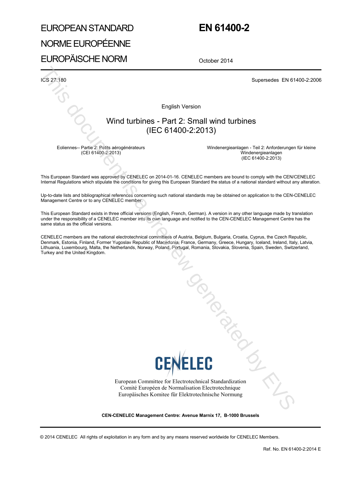# EUROPEAN STANDARD NORME EUROPÉENNE EUROPÄISCHE NORM

## **EN 61400-2**

October 2014

ICS 27.180 Supersedes EN 61400-2:2006

English Version

### Wind turbines - Part 2: Small wind turbines (IEC 61400-2:2013)

Eoliennes-- Partie 2: Petits aérogénérateurs (CEI 61400-2:2013)

Windenergieanlagen - Teil 2: Anforderungen für kleine Windenergieanlagen (IEC 61400-2:2013)

This European Standard was approved by CENELEC on 2014-01-16. CENELEC members are bound to comply with the CEN/CENELEC Internal Regulations which stipulate the conditions for giving this European Standard the status of a national standard without any alteration.

Up-to-date lists and bibliographical references concerning such national standards may be obtained on application to the CEN-CENELEC Management Centre or to any CENELEC member.

This European Standard exists in three official versions (English, French, German). A version in any other language made by translation under the responsibility of a CENELEC member into its own language and notified to the CEN-CENELEC Management Centre has the same status as the official versions.

CENELEC members are the national electrotechnical committees of Austria, Belgium, Bulgaria, Croatia, Cyprus, the Czech Republic, Denmark, Estonia, Finland, Former Yugoslav Republic of Macedonia, France, Germany, Greece, Hungary, Iceland, Ireland, Italy, Latvia, Lithuania, Luxembourg, Malta, the Netherlands, Norway, Poland, Portugal, Romania, Slovakia, Slovenia, Spain, Sweden, Switzerland, Turkey and the United Kingdom.



European Committee for Electrotechnical Standardization Comité Européen de Normalisation Electrotechnique Europäisches Komitee für Elektrotechnische Normung Tongueno

**CEN-CENELEC Management Centre: Avenue Marnix 17, B-1000 Brussels**

© 2014 CENELEC All rights of exploitation in any form and by any means reserved worldwide for CENELEC Members.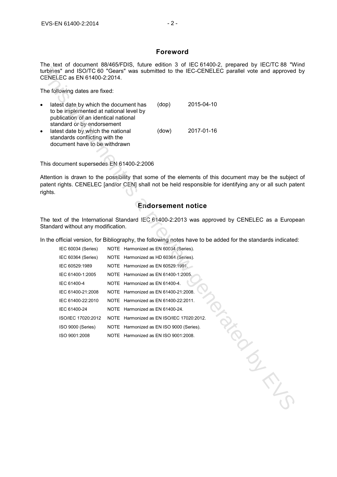#### **Foreword**

The text of document 88/465/FDIS, future edition 3 of IEC 61400-2, prepared by IEC/TC 88 "Wind turbines" and ISO/TC 60 "Gears" was submitted to the IEC-CENELEC parallel vote and approved by CENELEC as EN 61400-2:2014.

| $\bullet$ | latest date by which the document has<br>to be implemented at national level by<br>publication of an identical national<br>standard or by endorsement | (dop) | 2015-04-10 |
|-----------|-------------------------------------------------------------------------------------------------------------------------------------------------------|-------|------------|
| $\bullet$ | latest date by which the national<br>standards conflicting with the<br>document have to be withdrawn                                                  | (dow) | 2017-01-16 |

#### **Endorsement notice**

| CENELEC as EN 61400-2:2014.                                                                                                                                                                                                                                                             |                                           |                | The lead of document objection bio, nature cultion of the office 2, prepared by incorre<br>turbines" and ISO/TC 60 "Gears" was submitted to the IEC-CENELEC parallel vote and approved                      |
|-----------------------------------------------------------------------------------------------------------------------------------------------------------------------------------------------------------------------------------------------------------------------------------------|-------------------------------------------|----------------|-------------------------------------------------------------------------------------------------------------------------------------------------------------------------------------------------------------|
| The following dates are fixed:                                                                                                                                                                                                                                                          |                                           |                |                                                                                                                                                                                                             |
| latest date by which the document has<br>$\bullet$<br>to be implemented at national level by<br>publication of an identical national<br>standard or by endorsement<br>latest date by which the national<br>$\bullet$<br>standards conflicting with the<br>document have to be withdrawn |                                           | (dop)<br>(dow) | 2015-04-10<br>2017-01-16                                                                                                                                                                                    |
| This document supersedes EN 61400-2:2006                                                                                                                                                                                                                                                |                                           |                |                                                                                                                                                                                                             |
| rights.                                                                                                                                                                                                                                                                                 |                                           |                | Attention is drawn to the possibility that some of the elements of this document may be the subjec<br>patent rights. CENELEC [and/or CEN] shall not be held responsible for identifying any or all such pat |
|                                                                                                                                                                                                                                                                                         |                                           |                | <b>Endorsement notice</b>                                                                                                                                                                                   |
| Standard without any modification.                                                                                                                                                                                                                                                      |                                           |                | The text of the International Standard IEC 61400-2:2013 was approved by CENELEC as a Europe                                                                                                                 |
|                                                                                                                                                                                                                                                                                         |                                           |                | In the official version, for Bibliography, the following notes have to be added for the standards indicated                                                                                                 |
| IEC 60034 (Series)                                                                                                                                                                                                                                                                      | NOTE Harmonized as EN 60034 (Series).     |                |                                                                                                                                                                                                             |
| IEC 60364 (Series)                                                                                                                                                                                                                                                                      | NOTE Harmonized as HD 60364 (Series).     |                |                                                                                                                                                                                                             |
| IEC 60529:1989                                                                                                                                                                                                                                                                          | NOTE Harmonized as EN 60529:1991.         |                |                                                                                                                                                                                                             |
| IEC 61400-1:2005                                                                                                                                                                                                                                                                        | NOTE Harmonized as EN 61400-1:2005.       |                |                                                                                                                                                                                                             |
| IEC 61400-4                                                                                                                                                                                                                                                                             | NOTE Harmonized as EN 61400-4.            |                |                                                                                                                                                                                                             |
| IEC 61400-21:2008                                                                                                                                                                                                                                                                       | NOTE Harmonized as EN 61400-21:2008.      |                |                                                                                                                                                                                                             |
| IEC 61400-22:2010                                                                                                                                                                                                                                                                       | NOTE Harmonized as EN 61400-22:2011.      |                |                                                                                                                                                                                                             |
| IEC 61400-24                                                                                                                                                                                                                                                                            | NOTE Harmonized as EN 61400-24.           |                |                                                                                                                                                                                                             |
| ISO/IEC 17020:2012                                                                                                                                                                                                                                                                      | NOTE Harmonized as EN ISO/IEC 17020:2012. |                |                                                                                                                                                                                                             |
| ISO 9000 (Series)                                                                                                                                                                                                                                                                       | NOTE Harmonized as EN ISO 9000 (Series).  |                |                                                                                                                                                                                                             |
| ISO 9001:2008                                                                                                                                                                                                                                                                           | NOTE Harmonized as EN ISO 9001:2008.      |                |                                                                                                                                                                                                             |
|                                                                                                                                                                                                                                                                                         |                                           |                |                                                                                                                                                                                                             |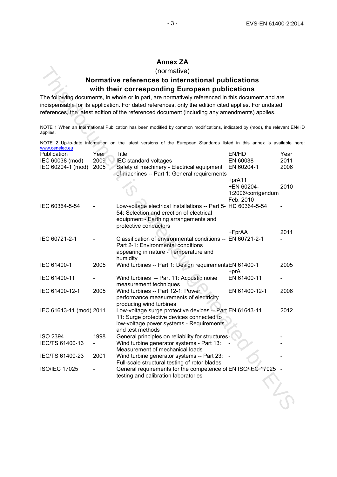#### **Annex ZA**

#### **Normative references to international publications with their corresponding European publications**

|                                                                                                                                                                                                                                                                                                            |                      | (normative)                                                                                                                                                                 |                                                         |                      |  |  |
|------------------------------------------------------------------------------------------------------------------------------------------------------------------------------------------------------------------------------------------------------------------------------------------------------------|----------------------|-----------------------------------------------------------------------------------------------------------------------------------------------------------------------------|---------------------------------------------------------|----------------------|--|--|
| Normative references to international publications                                                                                                                                                                                                                                                         |                      |                                                                                                                                                                             |                                                         |                      |  |  |
|                                                                                                                                                                                                                                                                                                            |                      | with their corresponding European publications                                                                                                                              |                                                         |                      |  |  |
| The following documents, in whole or in part, are normatively referenced in this document and are<br>indispensable for its application. For dated references, only the edition cited applies. For undated<br>references, the latest edition of the referenced document (including any amendments) applies. |                      |                                                                                                                                                                             |                                                         |                      |  |  |
| applies.                                                                                                                                                                                                                                                                                                   |                      | NOTE 1 When an International Publication has been modified by common modifications, indicated by (mod), the relevant EN                                                     |                                                         |                      |  |  |
| www.cenelec.eu                                                                                                                                                                                                                                                                                             |                      | NOTE 2 Up-to-date information on the latest versions of the European Standards listed in this annex is available h                                                          |                                                         |                      |  |  |
| Publication<br>IEC 60038 (mod)<br>IEC 60204-1 (mod)                                                                                                                                                                                                                                                        | Year<br>2009<br>2005 | <u>Title</u><br>IEC standard voltages<br>Safety of machinery - Electrical equipment<br>of machines -- Part 1: General requirements                                          | EN/HD<br>EN 60038<br>EN 60204-1                         | Year<br>2011<br>2006 |  |  |
|                                                                                                                                                                                                                                                                                                            |                      |                                                                                                                                                                             | +prA11<br>+EN 60204-<br>1:2006/corrigendum<br>Feb. 2010 | 2010                 |  |  |
| IEC 60364-5-54                                                                                                                                                                                                                                                                                             |                      | Low-voltage electrical installations -- Part 5- HD 60364-5-54<br>54: Selection and erection of electrical<br>equipment - Earthing arrangements and<br>protective conductors |                                                         |                      |  |  |
| IEC 60721-2-1                                                                                                                                                                                                                                                                                              |                      | Classification of environmental conditions -- EN 60721-2-1<br>Part 2-1: Environmental conditions<br>appearing in nature - Temperature and                                   | +FprAA                                                  | 2011                 |  |  |
| IEC 61400-1                                                                                                                                                                                                                                                                                                | 2005                 | humidity<br>Wind turbines -- Part 1: Design requirementsEN 61400-1                                                                                                          | +prA                                                    | 2005                 |  |  |
| IEC 61400-11                                                                                                                                                                                                                                                                                               |                      | Wind turbines -- Part 11: Acoustic noise<br>measurement techniques                                                                                                          | EN 61400-11                                             |                      |  |  |
| IEC 61400-12-1                                                                                                                                                                                                                                                                                             | 2005                 | Wind turbines -- Part 12-1: Power<br>performance measurements of electricity<br>producing wind turbines                                                                     | EN 61400-12-1                                           | 2006                 |  |  |
| IEC 61643-11 (mod) 2011                                                                                                                                                                                                                                                                                    |                      | Low-voltage surge protective devices -- Part EN 61643-11<br>11: Surge protective devices connected to<br>low-voltage power systems - Requirements<br>and test methods       |                                                         | 2012                 |  |  |
| <b>ISO 2394</b><br>IEC/TS 61400-13                                                                                                                                                                                                                                                                         | 1998                 | General principles on reliability for structures<br>Wind turbine generator systems - Part 13:<br>Measurement of mechanical loads                                            |                                                         |                      |  |  |
| IEC/TS 61400-23                                                                                                                                                                                                                                                                                            | 2001                 | Wind turbine generator systems -- Part 23:<br>Full-scale structural testing of rotor blades                                                                                 |                                                         |                      |  |  |
| <b>ISO/IEC 17025</b>                                                                                                                                                                                                                                                                                       |                      | General requirements for the competence of EN ISO/IEC 17025<br>testing and calibration laboratories                                                                         |                                                         |                      |  |  |
|                                                                                                                                                                                                                                                                                                            |                      |                                                                                                                                                                             |                                                         |                      |  |  |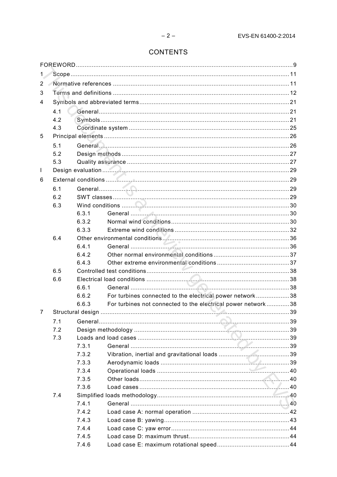### **CONTENTS**

| 1.             |     |                |                                                              |  |  |  |
|----------------|-----|----------------|--------------------------------------------------------------|--|--|--|
| $\overline{2}$ |     |                |                                                              |  |  |  |
| 3              |     |                |                                                              |  |  |  |
| 4              |     |                |                                                              |  |  |  |
|                | 4.1 |                |                                                              |  |  |  |
|                | 4.2 |                |                                                              |  |  |  |
|                | 4.3 |                |                                                              |  |  |  |
| 5              |     |                |                                                              |  |  |  |
|                | 5.1 |                |                                                              |  |  |  |
|                | 5.2 |                |                                                              |  |  |  |
|                | 5.3 |                |                                                              |  |  |  |
| L              |     |                |                                                              |  |  |  |
| 6              |     |                |                                                              |  |  |  |
|                | 6.1 |                |                                                              |  |  |  |
|                | 6.2 |                |                                                              |  |  |  |
|                | 6.3 |                |                                                              |  |  |  |
|                |     | 6.3.1          |                                                              |  |  |  |
|                |     | 6.3.2          |                                                              |  |  |  |
|                |     | 6.3.3          |                                                              |  |  |  |
|                | 6.4 |                |                                                              |  |  |  |
|                |     | 6.4.1          |                                                              |  |  |  |
|                |     | 6.4.2          |                                                              |  |  |  |
|                |     | 6.4.3          |                                                              |  |  |  |
|                | 6.5 |                |                                                              |  |  |  |
|                | 6.6 |                |                                                              |  |  |  |
|                |     | 6.6.1          |                                                              |  |  |  |
|                |     | 6.6.2          | For turbines connected to the electrical power network38     |  |  |  |
|                |     | 6.6.3          | For turbines not connected to the electrical power network38 |  |  |  |
| 7              |     |                |                                                              |  |  |  |
|                | 7.1 |                |                                                              |  |  |  |
|                | 7.2 |                |                                                              |  |  |  |
|                | 7.3 |                |                                                              |  |  |  |
|                |     | 7.3.1          |                                                              |  |  |  |
|                |     | 7.3.2          |                                                              |  |  |  |
|                |     | 7.3.3          |                                                              |  |  |  |
|                |     | 7.3.4          |                                                              |  |  |  |
|                |     | 7.3.5          |                                                              |  |  |  |
|                |     | 7.3.6          |                                                              |  |  |  |
|                | 7.4 |                |                                                              |  |  |  |
|                |     | 7.4.1<br>7.4.2 |                                                              |  |  |  |
|                |     | 7.4.3          |                                                              |  |  |  |
|                |     | 7.4.4          |                                                              |  |  |  |
|                |     | 7.4.5          |                                                              |  |  |  |
|                |     | 7.4.6          |                                                              |  |  |  |
|                |     |                |                                                              |  |  |  |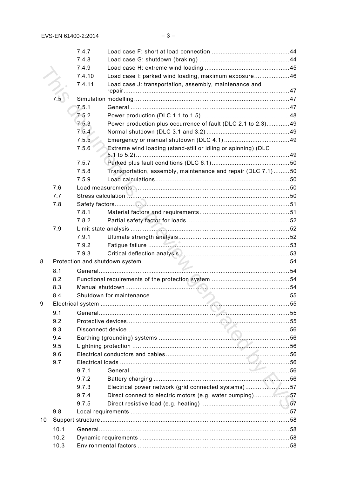|    |                  | 7.4.7  |                                                               |  |
|----|------------------|--------|---------------------------------------------------------------|--|
|    |                  | 7.4.8  |                                                               |  |
|    |                  | 7.4.9  |                                                               |  |
|    |                  | 7.4.10 | Load case I: parked wind loading, maximum exposure46          |  |
|    |                  | 7.4.11 | Load case J: transportation, assembly, maintenance and        |  |
|    |                  |        |                                                               |  |
|    | $7.\overline{5}$ |        |                                                               |  |
|    |                  | 7.5.1  |                                                               |  |
|    |                  | 7.5.2  |                                                               |  |
|    |                  | 7.5.3  | Power production plus occurrence of fault (DLC 2.1 to 2.3)49  |  |
|    |                  | 7.5.4  |                                                               |  |
|    |                  | 7.5.5  |                                                               |  |
|    |                  | 7.5.6  | Extreme wind loading (stand-still or idling or spinning) (DLC |  |
|    |                  | 7.5.7  |                                                               |  |
|    |                  | 7.5.8  | Transportation, assembly, maintenance and repair (DLC 7.1)50  |  |
|    |                  | 7.5.9  |                                                               |  |
|    | 7.6              |        |                                                               |  |
|    | 7.7              |        |                                                               |  |
|    | 7.8              |        |                                                               |  |
|    |                  | 7.8.1  |                                                               |  |
|    |                  | 7.8.2  |                                                               |  |
|    | 7.9              |        |                                                               |  |
|    |                  | 7.9.1  |                                                               |  |
|    |                  | 7.9.2  |                                                               |  |
|    |                  | 7.9.3  |                                                               |  |
| 8  |                  |        |                                                               |  |
|    | 8.1              |        |                                                               |  |
|    | 8.2              |        |                                                               |  |
|    | 8.3              |        |                                                               |  |
|    | 8.4              |        |                                                               |  |
| 9  |                  |        |                                                               |  |
|    | 9.1              |        |                                                               |  |
|    | 9.2              |        |                                                               |  |
|    | 9.3              |        |                                                               |  |
|    | 9.4              |        |                                                               |  |
|    | 9.5              |        |                                                               |  |
|    | 9.6              |        |                                                               |  |
|    | 9.7              |        |                                                               |  |
|    |                  | 9.7.1  |                                                               |  |
|    |                  | 9.7.2  |                                                               |  |
|    |                  | 9.7.3  | Electrical power network (grid connected systems)57           |  |
|    |                  | 9.7.4  | Direct connect to electric motors (e.g. water pumping)57      |  |
|    |                  | 9.7.5  |                                                               |  |
|    | 9.8              |        |                                                               |  |
| 10 |                  |        |                                                               |  |
|    | 10.1             |        |                                                               |  |
|    | 10.2             |        |                                                               |  |
|    | 10.3             |        |                                                               |  |
|    |                  |        |                                                               |  |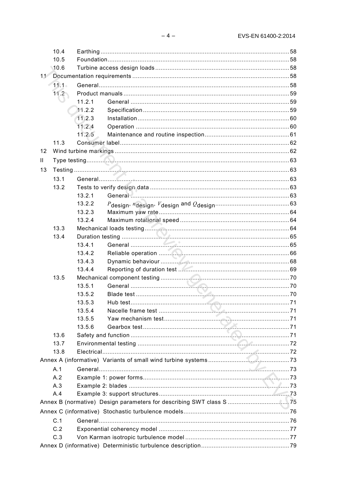|              | 10.4     |        |  |  |
|--------------|----------|--------|--|--|
|              | 10.5     |        |  |  |
|              | 10.6     |        |  |  |
| 11           |          |        |  |  |
|              | $11.1 -$ |        |  |  |
|              | 11.2     |        |  |  |
|              |          | 11.2.1 |  |  |
|              |          | 11.2.2 |  |  |
|              |          | 11.2.3 |  |  |
|              |          | 11.2.4 |  |  |
|              |          | 11.2.5 |  |  |
|              | 11.3     |        |  |  |
| 12           |          |        |  |  |
| $\mathbf{H}$ |          |        |  |  |
| 13           |          |        |  |  |
|              | 13.1     |        |  |  |
|              | 13.2     |        |  |  |
|              |          | 13.2.1 |  |  |
|              |          | 13.2.2 |  |  |
|              |          | 13.2.3 |  |  |
|              |          | 13.2.4 |  |  |
|              | 13.3     |        |  |  |
|              | 13.4     |        |  |  |
|              |          | 13.4.1 |  |  |
|              |          | 13.4.2 |  |  |
|              |          | 13.4.3 |  |  |
|              |          | 13.4.4 |  |  |
|              | 13.5     |        |  |  |
|              |          | 13.5.1 |  |  |
|              |          | 13.5.2 |  |  |
|              |          | 13.5.3 |  |  |
|              |          | 13.5.4 |  |  |
|              |          | 13.5.5 |  |  |
|              |          | 13.5.6 |  |  |
|              | 13.6     |        |  |  |
|              | 13.7     |        |  |  |
|              | 13.8     |        |  |  |
|              |          |        |  |  |
|              | A.1      |        |  |  |
|              | A.2      |        |  |  |
|              | A.3      |        |  |  |
|              | A.4      |        |  |  |
|              |          |        |  |  |
|              |          |        |  |  |
|              |          |        |  |  |
|              | C.1      |        |  |  |
|              | C.2      |        |  |  |
|              | C.3      |        |  |  |
|              |          |        |  |  |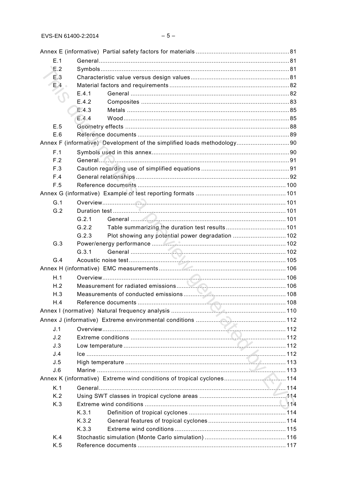| E.1         |                                                                          |  |
|-------------|--------------------------------------------------------------------------|--|
| E.2         |                                                                          |  |
| E.3         |                                                                          |  |
| $E.4 \cdot$ |                                                                          |  |
|             | E.4.1                                                                    |  |
|             | E.4.2                                                                    |  |
|             | E.4.3                                                                    |  |
|             | E.4.4                                                                    |  |
| E.5         |                                                                          |  |
| E.6         |                                                                          |  |
|             | Annex F (informative) Development of the simplified loads methodology 90 |  |
| F.1         |                                                                          |  |
| F.2         |                                                                          |  |
| F.3         |                                                                          |  |
| F.4         |                                                                          |  |
| F.5         |                                                                          |  |
|             |                                                                          |  |
| G.1         |                                                                          |  |
| G.2         |                                                                          |  |
|             | G.2.1                                                                    |  |
|             | G.2.2                                                                    |  |
|             | Plot showing any potential power degradation  102<br>G.2.3               |  |
| G.3         |                                                                          |  |
|             | G.3.1                                                                    |  |
| G.4         |                                                                          |  |
|             |                                                                          |  |
| H.1         |                                                                          |  |
| H.2         |                                                                          |  |
| H.3         |                                                                          |  |
| H.4         |                                                                          |  |
|             |                                                                          |  |
|             |                                                                          |  |
| J.1         |                                                                          |  |
| J.2         |                                                                          |  |
| J.3         |                                                                          |  |
| J.4         |                                                                          |  |
| J.5         |                                                                          |  |
| J.6         |                                                                          |  |
|             | Annex K (informative) Extreme wind conditions of tropical cyclones 114   |  |
| K.1         |                                                                          |  |
| K.2         |                                                                          |  |
| K.3         |                                                                          |  |
|             | K.3.1                                                                    |  |
|             | K.3.2                                                                    |  |
|             | K.3.3                                                                    |  |
| K.4         |                                                                          |  |
| K.5         |                                                                          |  |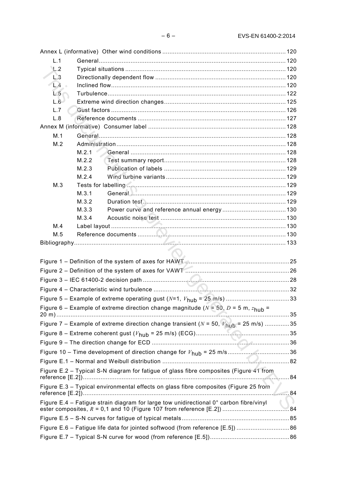| L.1        |                                                                                                     |  |
|------------|-----------------------------------------------------------------------------------------------------|--|
| L.2        |                                                                                                     |  |
| L.3        |                                                                                                     |  |
| $L4 \cdot$ |                                                                                                     |  |
| L.5        |                                                                                                     |  |
| L.6        |                                                                                                     |  |
| L.7        |                                                                                                     |  |
| L.8        |                                                                                                     |  |
|            |                                                                                                     |  |
| M.1        |                                                                                                     |  |
| M.2        |                                                                                                     |  |
|            | M.2.1                                                                                               |  |
|            | M.2.2                                                                                               |  |
|            | M.2.3                                                                                               |  |
|            | M.2.4                                                                                               |  |
| M.3        |                                                                                                     |  |
|            | M.3.1                                                                                               |  |
|            | M.3.2                                                                                               |  |
|            | M.3.3                                                                                               |  |
|            | M.3.4                                                                                               |  |
| M.4        |                                                                                                     |  |
| M.5        |                                                                                                     |  |
|            |                                                                                                     |  |
|            |                                                                                                     |  |
|            |                                                                                                     |  |
|            |                                                                                                     |  |
|            |                                                                                                     |  |
|            |                                                                                                     |  |
|            |                                                                                                     |  |
|            |                                                                                                     |  |
|            |                                                                                                     |  |
|            | Figure 6 – Example of extreme direction change magnitude ( $N = 50$ , $D = 5$ m, $z_{\text{hub}} =$ |  |
|            |                                                                                                     |  |
|            | Figure 7 – Example of extreme direction change transient ( $N = 50$ , $V_{\text{hub}} = 25$ m/s) 35 |  |
|            |                                                                                                     |  |
|            |                                                                                                     |  |
|            | Figure 10 – Time development of direction change for $V_{\text{hub}} = 25 \text{ m/s}$ 36           |  |
|            |                                                                                                     |  |
|            | Figure E.2 - Typical S-N diagram for fatigue of glass fibre composites (Figure 41 from              |  |
|            | Figure E.3 - Typical environmental effects on glass fibre composites (Figure 25 from                |  |
|            | Figure E.4 – Fatigue strain diagram for large tow unidirectional 0° carbon fibre/vinyl              |  |
|            |                                                                                                     |  |
|            |                                                                                                     |  |
|            | Figure E.6 - Fatigue life data for jointed softwood (from reference [E.5]) 86                       |  |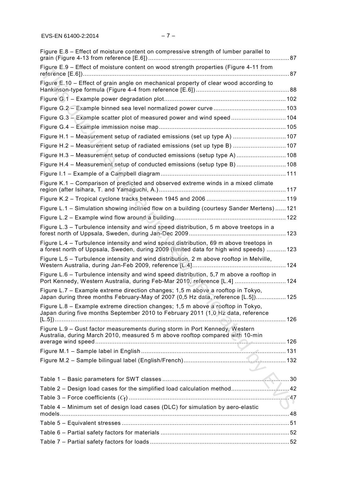| Figure E.8 – Effect of moisture content on compressive strength of lumber parallel to                                                                                           |  |
|---------------------------------------------------------------------------------------------------------------------------------------------------------------------------------|--|
| Figure E.9 - Effect of moisture content on wood strength properties (Figure 4-11 from                                                                                           |  |
| Figure E.10 – Effect of grain angle on mechanical property of clear wood according to                                                                                           |  |
|                                                                                                                                                                                 |  |
|                                                                                                                                                                                 |  |
| Figure G.3 - Example scatter plot of measured power and wind speed 104                                                                                                          |  |
|                                                                                                                                                                                 |  |
| Figure H.1 - Measurement setup of radiated emissions (set up type A)  107                                                                                                       |  |
| Figure H.2 - Measurement setup of radiated emissions (set up type B)  107                                                                                                       |  |
| Figure H.3 - Measurement setup of conducted emissions (setup type A)  108                                                                                                       |  |
| Figure H.4 - Measurement setup of conducted emissions (setup type B)  108                                                                                                       |  |
|                                                                                                                                                                                 |  |
| Figure K.1 - Comparison of predicted and observed extreme winds in a mixed climate                                                                                              |  |
|                                                                                                                                                                                 |  |
| Figure L.1 - Simulation showing inclined flow on a building (courtesy Sander Mertens)  121                                                                                      |  |
|                                                                                                                                                                                 |  |
| Figure L.3 - Turbulence intensity and wind speed distribution, 5 m above treetops in a                                                                                          |  |
| Figure L.4 – Turbulence intensity and wind speed distribution, 69 m above treetops in<br>a forest north of Uppsala, Sweden, during 2009 (limited data for high wind speeds) 123 |  |
| Figure L.5 – Turbulence intensity and wind distribution, 2 m above rooftop in Melville,                                                                                         |  |
| Figure L.6 – Turbulence intensity and wind speed distribution, 5,7 m above a rooftop in<br>Port Kennedy, Western Australia, during Feb-Mar 2010, reference [L.4]  124           |  |
| Figure L.7 - Example extreme direction changes; 1,5 m above a rooftop in Tokyo,<br>Japan during three months February-May of 2007 (0,5 Hz data, reference [L.5]) 125            |  |
| Figure L.8 - Example extreme direction changes; 1,5 m above a rooftop in Tokyo,<br>Japan during five months September 2010 to February 2011 (1,0 Hz data, reference             |  |
| Figure L.9 - Gust factor measurements during storm in Port Kennedy, Western<br>Australia, during March 2010, measured 5 m above rooftop compared with 10-min                    |  |
|                                                                                                                                                                                 |  |
|                                                                                                                                                                                 |  |
| $\sqrt{2}$                                                                                                                                                                      |  |
|                                                                                                                                                                                 |  |
|                                                                                                                                                                                 |  |
|                                                                                                                                                                                 |  |
| Table 4 - Minimum set of design load cases (DLC) for simulation by aero-elastic                                                                                                 |  |
|                                                                                                                                                                                 |  |
|                                                                                                                                                                                 |  |
|                                                                                                                                                                                 |  |
|                                                                                                                                                                                 |  |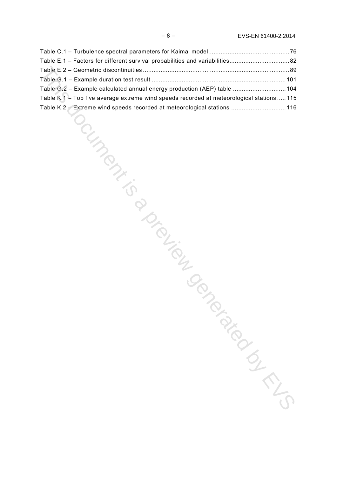| Table E.1 - Factors for different survival probabilities and variabilities82              |  |
|-------------------------------------------------------------------------------------------|--|
|                                                                                           |  |
|                                                                                           |  |
| Table G.2 - Example calculated annual energy production (AEP) table  104                  |  |
| Table K.1 - Top five average extreme wind speeds recorded at meteorological stations  115 |  |
| Table K.2 - Extreme wind speeds recorded at meteorological stations  116                  |  |
| OCILISTS ON THE                                                                           |  |
|                                                                                           |  |
|                                                                                           |  |
|                                                                                           |  |
|                                                                                           |  |
|                                                                                           |  |
|                                                                                           |  |
|                                                                                           |  |
|                                                                                           |  |
|                                                                                           |  |
| <b>PIDINELIAN</b>                                                                         |  |
|                                                                                           |  |
|                                                                                           |  |
|                                                                                           |  |
|                                                                                           |  |
|                                                                                           |  |
|                                                                                           |  |
|                                                                                           |  |
|                                                                                           |  |
|                                                                                           |  |
|                                                                                           |  |
|                                                                                           |  |
|                                                                                           |  |
|                                                                                           |  |
|                                                                                           |  |
|                                                                                           |  |
|                                                                                           |  |
|                                                                                           |  |
| TON BIGICS                                                                                |  |
|                                                                                           |  |
|                                                                                           |  |